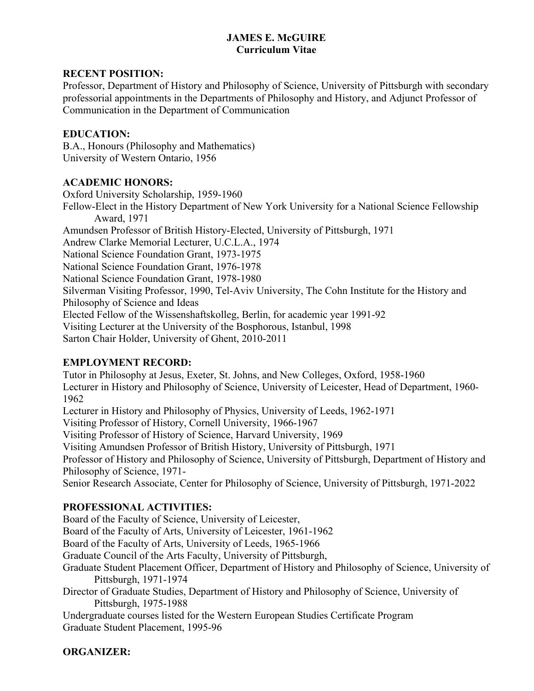## **JAMES E. McGUIRE Curriculum Vitae**

## **RECENT POSITION:**

Professor, Department of History and Philosophy of Science, University of Pittsburgh with secondary professorial appointments in the Departments of Philosophy and History, and Adjunct Professor of Communication in the Department of Communication

# **EDUCATION:**

B.A., Honours (Philosophy and Mathematics) University of Western Ontario, 1956

# **ACADEMIC HONORS:**

Oxford University Scholarship, 1959-1960 Fellow-Elect in the History Department of New York University for a National Science Fellowship Award, 1971 Amundsen Professor of British History-Elected, University of Pittsburgh, 1971 Andrew Clarke Memorial Lecturer, U.C.L.A., 1974 National Science Foundation Grant, 1973-1975 National Science Foundation Grant, 1976-1978 National Science Foundation Grant, 1978-1980 Silverman Visiting Professor, 1990, Tel-Aviv University, The Cohn Institute for the History and Philosophy of Science and Ideas Elected Fellow of the Wissenshaftskolleg, Berlin, for academic year 1991-92 Visiting Lecturer at the University of the Bosphorous, Istanbul, 1998 Sarton Chair Holder, University of Ghent, 2010-2011

# **EMPLOYMENT RECORD:**

Tutor in Philosophy at Jesus, Exeter, St. Johns, and New Colleges, Oxford, 1958-1960 Lecturer in History and Philosophy of Science, University of Leicester, Head of Department, 1960- 1962 Lecturer in History and Philosophy of Physics, University of Leeds, 1962-1971 Visiting Professor of History, Cornell University, 1966-1967 Visiting Professor of History of Science, Harvard University, 1969 Visiting Amundsen Professor of British History, University of Pittsburgh, 1971 Professor of History and Philosophy of Science, University of Pittsburgh, Department of History and Philosophy of Science, 1971- Senior Research Associate, Center for Philosophy of Science, University of Pittsburgh, 1971-2022

# **PROFESSIONAL ACTIVITIES:**

Board of the Faculty of Science, University of Leicester,

Board of the Faculty of Arts, University of Leicester, 1961-1962

Board of the Faculty of Arts, University of Leeds, 1965-1966

Graduate Council of the Arts Faculty, University of Pittsburgh,

Graduate Student Placement Officer, Department of History and Philosophy of Science, University of Pittsburgh, 1971-1974

Director of Graduate Studies, Department of History and Philosophy of Science, University of Pittsburgh, 1975-1988

Undergraduate courses listed for the Western European Studies Certificate Program Graduate Student Placement, 1995-96

# **ORGANIZER:**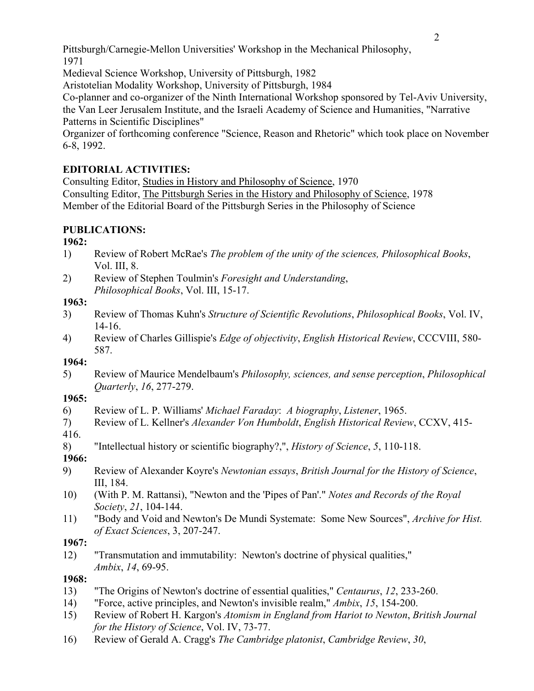Pittsburgh/Carnegie-Mellon Universities' Workshop in the Mechanical Philosophy, 1971

Medieval Science Workshop, University of Pittsburgh, 1982

Aristotelian Modality Workshop, University of Pittsburgh, 1984

Co-planner and co-organizer of the Ninth International Workshop sponsored by Tel-Aviv University, the Van Leer Jerusalem Institute, and the Israeli Academy of Science and Humanities, "Narrative Patterns in Scientific Disciplines"

Organizer of forthcoming conference "Science, Reason and Rhetoric" which took place on November 6-8, 1992.

# **EDITORIAL ACTIVITIES:**

Consulting Editor, Studies in History and Philosophy of Science, 1970 Consulting Editor, The Pittsburgh Series in the History and Philosophy of Science, 1978 Member of the Editorial Board of the Pittsburgh Series in the Philosophy of Science

# **PUBLICATIONS:**

# **1962:**

- 1) Review of Robert McRae's *The problem of the unity of the sciences, Philosophical Books*, Vol. III, 8.
- 2) Review of Stephen Toulmin's *Foresight and Understanding*, *Philosophical Books*, Vol. III, 15-17.

# **1963:**

- 3) Review of Thomas Kuhn's *Structure of Scientific Revolutions*, *Philosophical Books*, Vol. IV, 14-16.
- 4) Review of Charles Gillispie's *Edge of objectivity*, *English Historical Review*, CCCVIII, 580- 587.

# **1964:**

5) Review of Maurice Mendelbaum's *Philosophy, sciences, and sense perception*, *Philosophical Quarterly*, *16*, 277-279.

# **1965:**

- 6) Review of L. P. Williams' *Michael Faraday*: *A biography*, *Listener*, 1965.
- 7) Review of L. Kellner's *Alexander Von Humboldt*, *English Historical Review*, CCXV, 415-

416.

8) "Intellectual history or scientific biography?,", *History of Science*, *5*, 110-118.

**1966:**

- 9) Review of Alexander Koyre's *Newtonian essays*, *British Journal for the History of Science*, III, 184.
- 10) (With P. M. Rattansi), "Newton and the 'Pipes of Pan'." *Notes and Records of the Royal Society*, *21*, 104-144.
- 11) "Body and Void and Newton's De Mundi Systemate: Some New Sources", *Archive for Hist. of Exact Sciences*, 3, 207-247.

# **1967:**

12) "Transmutation and immutability: Newton's doctrine of physical qualities," *Ambix*, *14*, 69-95.

# **1968:**

- 13) "The Origins of Newton's doctrine of essential qualities," *Centaurus*, *12*, 233-260.
- 14) "Force, active principles, and Newton's invisible realm," *Ambix*, *15*, 154-200.
- 15) Review of Robert H. Kargon's *Atomism in England from Hariot to Newton*, *British Journal for the History of Science*, Vol. IV, 73-77.
- 16) Review of Gerald A. Cragg's *The Cambridge platonist*, *Cambridge Review*, *30*,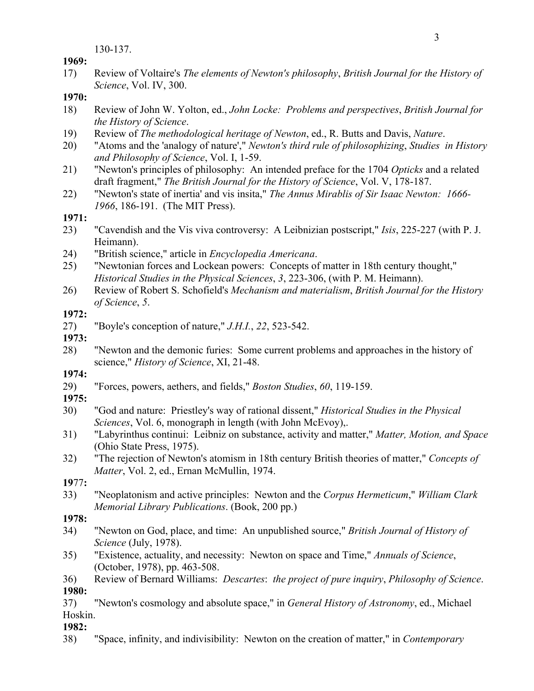130-137.

**1969:**

17) Review of Voltaire's *The elements of Newton's philosophy*, *British Journal for the History of Science*, Vol. IV, 300.

## **1970:**

- 18) Review of John W. Yolton, ed., *John Locke: Problems and perspectives*, *British Journal for the History of Science*.
- 19) Review of *The methodological heritage of Newton*, ed., R. Butts and Davis, *Nature*.
- 20) "Atoms and the 'analogy of nature'," *Newton's third rule of philosophizing*, *Studies in History and Philosophy of Science*, Vol. I, 1-59.
- 21) "Newton's principles of philosophy: An intended preface for the 1704 *Opticks* and a related draft fragment," *The British Journal for the History of Science*, Vol. V, 178-187.
- 22) "Newton's state of inertia' and vis insita," *The Annus Mirablis of Sir Isaac Newton: 1666- 1966*, 186-191. (The MIT Press).

# **1971:**

- 23) "Cavendish and the Vis viva controversy: A Leibnizian postscript," *Isis*, 225-227 (with P. J. Heimann).
- 24) "British science," article in *Encyclopedia Americana*.
- 25) "Newtonian forces and Lockean powers: Concepts of matter in 18th century thought," *Historical Studies in the Physical Sciences*, *3*, 223-306, (with P. M. Heimann).
- 26) Review of Robert S. Schofield's *Mechanism and materialism*, *British Journal for the History of Science*, *5*.

# **1972:**

- 27) "Boyle's conception of nature," *J.H.I.*, *22*, 523-542.
- **1973:**
- 28) "Newton and the demonic furies: Some current problems and approaches in the history of science," *History of Science*, XI, 21-48.
- **1974:**
- 29) "Forces, powers, aethers, and fields," *Boston Studies*, *60*, 119-159.
- **1975:**
- 30) "God and nature: Priestley's way of rational dissent," *Historical Studies in the Physical Sciences*, Vol. 6, monograph in length (with John McEvoy),.
- 31) "Labyrinthus continui: Leibniz on substance, activity and matter," *Matter, Motion, and Space* (Ohio State Press, 1975).
- 32) "The rejection of Newton's atomism in 18th century British theories of matter," *Concepts of Matter*, Vol. 2, ed., Ernan McMullin, 1974.
- **19**77**:**
- 33) "Neoplatonism and active principles: Newton and the *Corpus Hermeticum*," *William Clark Memorial Library Publications*. (Book, 200 pp.)

# **1978:**

- 34) "Newton on God, place, and time: An unpublished source," *British Journal of History of Science* (July, 1978).
- 35) "Existence, actuality, and necessity: Newton on space and Time," *Annuals of Science*, (October, 1978), pp. 463-508.
- 36) Review of Bernard Williams: *Descartes*: *the project of pure inquiry*, *Philosophy of Science*. **1980:**
- 37) "Newton's cosmology and absolute space," in *General History of Astronomy*, ed., Michael Hoskin.

# **1982:**

38) "Space, infinity, and indivisibility: Newton on the creation of matter," in *Contemporary*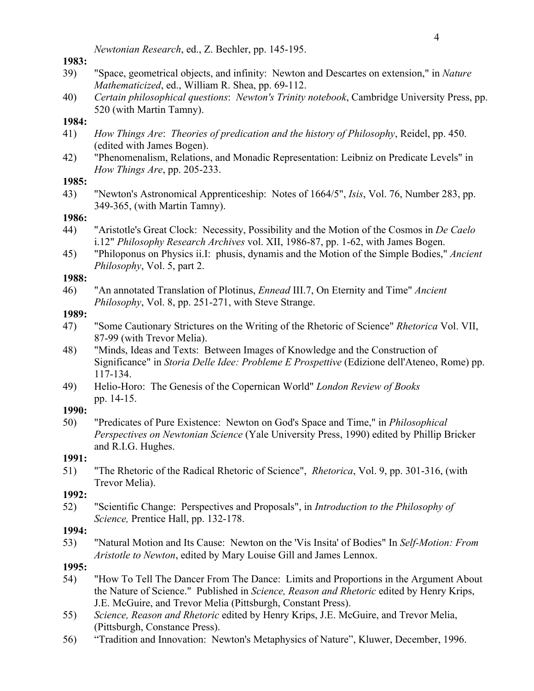*Newtonian Research*, ed., Z. Bechler, pp. 145-195.

#### **1983:**

- 39) "Space, geometrical objects, and infinity: Newton and Descartes on extension," in *Nature Mathematicized*, ed., William R. Shea, pp. 69-112.
- 40) *Certain philosophical questions*: *Newton's Trinity notebook*, Cambridge University Press, pp. 520 (with Martin Tamny).

## **1984:**

- 41) *How Things Are*: *Theories of predication and the history of Philosophy*, Reidel, pp. 450. (edited with James Bogen).
- 42) "Phenomenalism, Relations, and Monadic Representation: Leibniz on Predicate Levels" in *How Things Are*, pp. 205-233.

## **1985:**

43) "Newton's Astronomical Apprenticeship: Notes of 1664/5", *Isis*, Vol. 76, Number 283, pp. 349-365, (with Martin Tamny).

## **1986:**

- 44) "Aristotle's Great Clock: Necessity, Possibility and the Motion of the Cosmos in *De Caelo* i.12" *Philosophy Research Archives* vol. XII, 1986-87, pp. 1-62, with James Bogen.
- 45) "Philoponus on Physics ii.I: phusis, dynamis and the Motion of the Simple Bodies," *Ancient Philosophy*, Vol. 5, part 2.

#### **1988:**

46) "An annotated Translation of Plotinus, *Ennead* III.7, On Eternity and Time" *Ancient Philosophy*, Vol. 8, pp. 251-271, with Steve Strange.

## **1989:**

- 47) "Some Cautionary Strictures on the Writing of the Rhetoric of Science" *Rhetorica* Vol. VII, 87-99 (with Trevor Melia).
- 48) "Minds, Ideas and Texts: Between Images of Knowledge and the Construction of Significance" in *Storia Delle Idee: Probleme E Prospettive* (Edizione dell'Ateneo, Rome) pp. 117-134.
- 49) Helio-Horo: The Genesis of the Copernican World" *London Review of Books* pp. 14-15.

## **1990:**

50) "Predicates of Pure Existence: Newton on God's Space and Time," in *Philosophical Perspectives on Newtonian Science* (Yale University Press, 1990) edited by Phillip Bricker and R.I.G. Hughes.

## **1991:**

51) "The Rhetoric of the Radical Rhetoric of Science", *Rhetorica*, Vol. 9, pp. 301-316, (with Trevor Melia).

## **1992:**

52) "Scientific Change: Perspectives and Proposals", in *Introduction to the Philosophy of Science,* Prentice Hall, pp. 132-178.

## **1994:**

53) "Natural Motion and Its Cause: Newton on the 'Vis Insita' of Bodies" In *Self-Motion: From Aristotle to Newton*, edited by Mary Louise Gill and James Lennox.

## **1995:**

- 54) "How To Tell The Dancer From The Dance: Limits and Proportions in the Argument About the Nature of Science." Published in *Science, Reason and Rhetoric* edited by Henry Krips, J.E. McGuire, and Trevor Melia (Pittsburgh, Constant Press).
- 55) *Science, Reason and Rhetoric* edited by Henry Krips, J.E. McGuire, and Trevor Melia, (Pittsburgh, Constance Press).
- 56) "Tradition and Innovation: Newton's Metaphysics of Nature", Kluwer, December, 1996.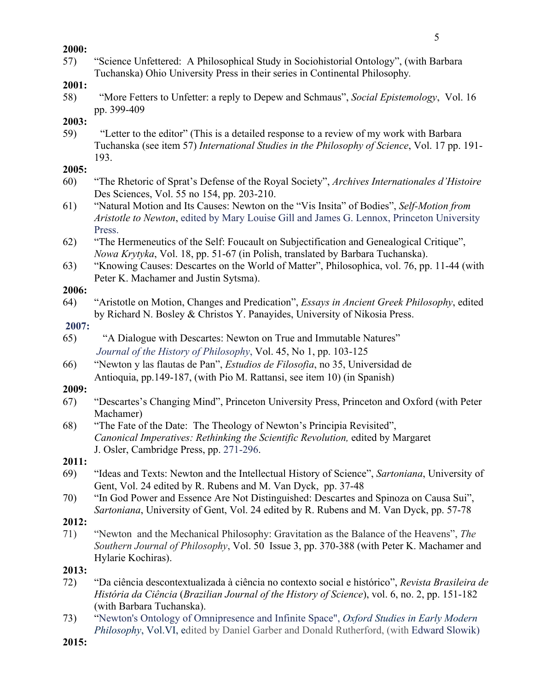#### **2000:**

57) "Science Unfettered: A Philosophical Study in Sociohistorial Ontology", (with Barbara Tuchanska) Ohio University Press in their series in Continental Philosophy*.*

## **2001:**

58) "More Fetters to Unfetter: a reply to Depew and Schmaus", *Social Epistemology*, Vol. 16 pp. 399-409

**2003:** 

59) "Letter to the editor" (This is a detailed response to a review of my work with Barbara Tuchanska (see item 57) *International Studies in the Philosophy of Science*, Vol. 17 pp. 191- 193.

## **2005:**

- 60) "The Rhetoric of Sprat's Defense of the Royal Society", *Archives Internationales d'Histoire* Des Sciences, Vol. 55 no 154, pp. 203-210.
- 61) "Natural Motion and Its Causes: Newton on the "Vis Insita" of Bodies", *Self-Motion from Aristotle to Newton*, edited by Mary Louise Gill and James G. Lennox, Princeton University Press.
- 62) "The Hermeneutics of the Self: Foucault on Subjectification and Genealogical Critique", *Nowa Krytyka*, Vol. 18, pp. 51-67 (in Polish, translated by Barbara Tuchanska).
- 63) "Knowing Causes: Descartes on the World of Matter", Philosophica, vol. 76, pp. 11-44 (with Peter K. Machamer and Justin Sytsma).

#### **2006:**

64) "Aristotle on Motion, Changes and Predication", *Essays in Ancient Greek Philosophy*, edited by Richard N. Bosley & Christos Y. Panayides, University of Nikosia Press.

#### **2007:**

- 65) "A Dialogue with Descartes: Newton on True and Immutable Natures" *Journal of the History of Philosophy*, Vol. 45, No 1, pp. 103-125
- 66) "Newton y las flautas de Pan", *Estudios de Filosofia*, no 35, Universidad de Antioquia, pp.149-187, (with Pio M. Rattansi, see item 10) (in Spanish)

## **2009:**

- 67) "Descartes's Changing Mind", Princeton University Press, Princeton and Oxford (with Peter Machamer)
- 68) "The Fate of the Date: The Theology of Newton's Principia Revisited", *Canonical Imperatives: Rethinking the Scientific Revolution,* edited by Margaret J. Osler, Cambridge Press, pp. 271-296.

## **2011:**

- 69) "Ideas and Texts: Newton and the Intellectual History of Science", *Sartoniana*, University of Gent, Vol. 24 edited by R. Rubens and M. Van Dyck, pp. 37-48
- 70) "In God Power and Essence Are Not Distinguished: Descartes and Spinoza on Causa Sui", *Sartoniana*, University of Gent, Vol. 24 edited by R. Rubens and M. Van Dyck, pp. 57-78

## **2012:**

71) "Newton and the Mechanical Philosophy: Gravitation as the Balance of the Heavens", *The Southern Journal of Philosophy*, Vol. 50 Issue 3, pp. 370-388 (with Peter K. Machamer and Hylarie Kochiras).

## **2013:**

- 72) "Da ciência descontextualizada à ciência no contexto social e histórico", *Revista Brasileira de História da Ciência* (*Brazilian Journal of the History of Science*), vol. 6, no. 2, pp. 151-182 (with Barbara Tuchanska).
- 73) "Newton's Ontology of Omnipresence and Infinite Space", *Oxford Studies in Early Modern Philosophy*, Vol.VI, edited by Daniel Garber and Donald Rutherford, (with Edward Slowik)

**2015:**